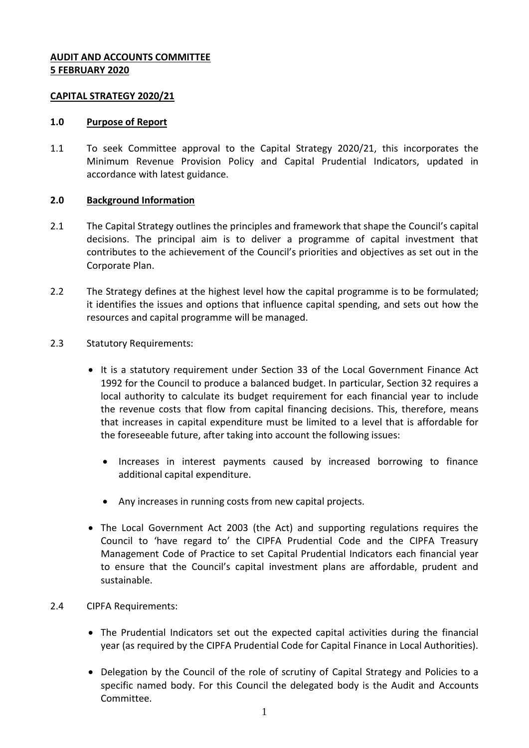# **AUDIT AND ACCOUNTS COMMITTEE 5 FEBRUARY 2020**

### **CAPITAL STRATEGY 2020/21**

### **1.0 Purpose of Report**

1.1 To seek Committee approval to the Capital Strategy 2020/21, this incorporates the Minimum Revenue Provision Policy and Capital Prudential Indicators, updated in accordance with latest guidance.

### **2.0 Background Information**

- 2.1 The Capital Strategy outlines the principles and framework that shape the Council's capital decisions. The principal aim is to deliver a programme of capital investment that contributes to the achievement of the Council's priorities and objectives as set out in the Corporate Plan.
- 2.2 The Strategy defines at the highest level how the capital programme is to be formulated; it identifies the issues and options that influence capital spending, and sets out how the resources and capital programme will be managed.
- 2.3 Statutory Requirements:
	- It is a statutory requirement under Section 33 of the Local Government Finance Act 1992 for the Council to produce a balanced budget. In particular, Section 32 requires a local authority to calculate its budget requirement for each financial year to include the revenue costs that flow from capital financing decisions. This, therefore, means that increases in capital expenditure must be limited to a level that is affordable for the foreseeable future, after taking into account the following issues:
		- Increases in interest payments caused by increased borrowing to finance additional capital expenditure.
		- Any increases in running costs from new capital projects.
	- The Local Government Act 2003 (the Act) and supporting regulations requires the Council to 'have regard to' the CIPFA Prudential Code and the CIPFA Treasury Management Code of Practice to set Capital Prudential Indicators each financial year to ensure that the Council's capital investment plans are affordable, prudent and sustainable.
- 2.4 CIPFA Requirements:
	- The Prudential Indicators set out the expected capital activities during the financial year (as required by the CIPFA Prudential Code for Capital Finance in Local Authorities).
	- Delegation by the Council of the role of scrutiny of Capital Strategy and Policies to a specific named body. For this Council the delegated body is the Audit and Accounts Committee.